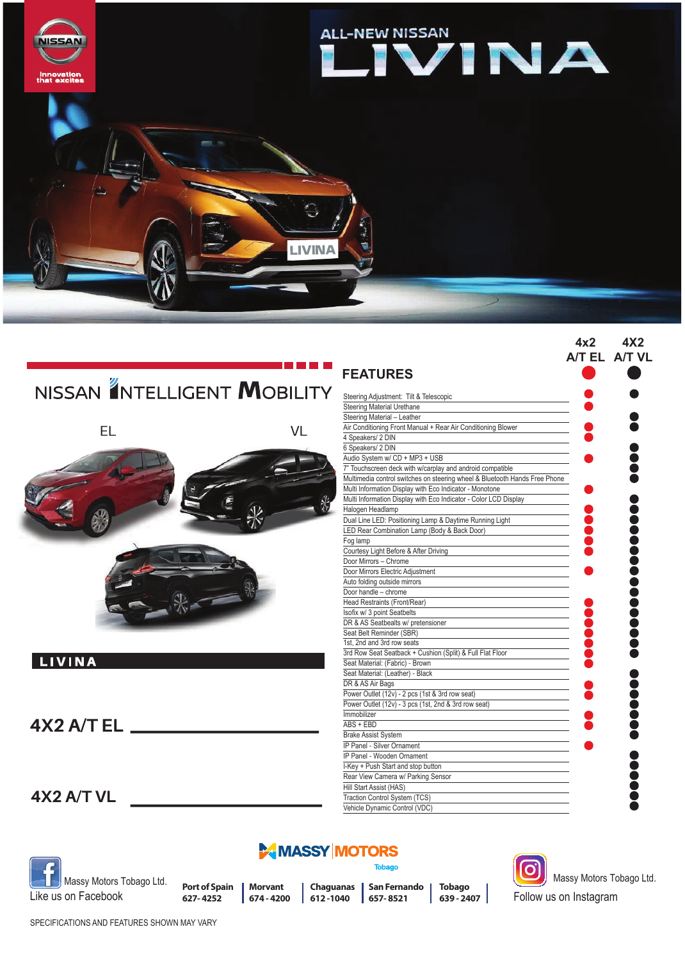

|                             | <b>FEATURES</b>                                                  |
|-----------------------------|------------------------------------------------------------------|
| NISSAN ANTELLIGENT MOBILITY | Steering Adjustment: Tilt & Telescopic                           |
|                             | <b>Steering Material Urethane</b>                                |
|                             | Steering Material - Leather                                      |
| EL<br>VL                    | Air Conditioning Front Manual + Rear Air Conditioning Blower     |
|                             | 4 Speakers/ 2 DIN                                                |
|                             | 6 Speakers/ 2 DIN                                                |
|                             | Audio System w/ CD + MP3 + USB                                   |
|                             | 7" Touchscreen deck with w/carplay and android compatible        |
|                             | Multimedia control switches on steering wheel & Bluetooth Hand   |
|                             | Multi Information Display with Eco Indicator - Monotone          |
|                             | Multi Information Display with Eco Indicator - Color LCD Display |
|                             | Halogen Headlamp                                                 |
|                             | Dual Line LED: Positioning Lamp & Daytime Running Light          |
|                             | LED Rear Combination Lamp (Body & Back Door)                     |
|                             | Fog lamp                                                         |
|                             | Courtesy Light Before & After Driving                            |
|                             | Door Mirrors - Chrome                                            |
|                             | Door Mirrors Electric Adjustment                                 |
|                             | Auto folding outside mirrors                                     |
|                             | Door handle - chrome                                             |
|                             | Head Restraints (Front/Rear)                                     |
|                             | Isofix w/ 3 point Seatbelts                                      |
|                             | DR & AS Seatbealts w/ pretensioner                               |
|                             | Seat Belt Reminder (SBR)                                         |
|                             | 1st, 2nd and 3rd row seats                                       |
|                             | 3rd Row Seat Seatback + Cushion (Split) & Full Flat Floor        |
| <b>LIVINA</b>               | Seat Material: (Fabric) - Brown                                  |
|                             | Seat Material: (Leather) - Black                                 |
|                             | DR & AS Air Bags                                                 |
|                             | Power Outlet (12v) - 2 pcs (1st & 3rd row seat)                  |
|                             | Power Outlet (12v) - 3 pcs (1st, 2nd & 3rd row seat)             |
|                             | Immobilizer                                                      |
| $4X2$ A/T EL $\_\_$         | $ABS + EBD$                                                      |
|                             | <b>Brake Assist System</b>                                       |
|                             | <b>IP Panel - Silver Ornament</b>                                |
|                             | IP Panel - Wooden Ornament                                       |
|                             | I-Key + Push Start and stop button                               |
|                             | Rear View Camera w/ Parking Sensor                               |
|                             | Hill Start Assist (HAS)                                          |
| 4X2 A/T VL                  | Traction Control System (TCS)                                    |



## **MASSY MOTORS**

**Tobago** 

Vehicle Dynamic Control (VDC)

Massy Motors Tobago Ltd. Like us on Facebook

**Port of Spain** | Morvant **627- 4252**

**674 - 4200**

**Chaguanas SanFernando 612 -1040 657- 8521**

**Tobago**



**639 - 2407** Follow us on Instagram Massy Motors Tobago Ltd.